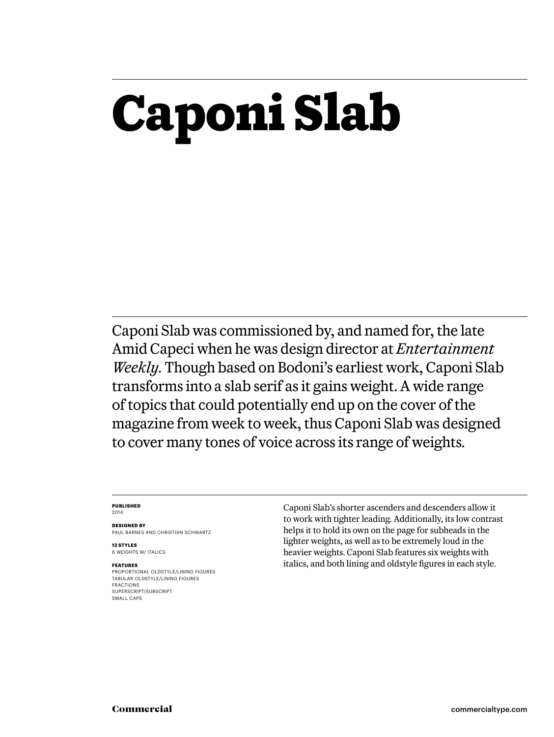# **Caponi Slab**

Caponi Slab was commissioned by, and named for, the late Amid Capeci when he was design director at *Entertainment Weekly.* Though based on Bodoni's earliest work, Caponi Slab transforms into a slab serif as it gains weight. A wide range of topics that could potentially end up on the cover of the magazine from week to week, thus Caponi Slab was designed to cover many tones of voice across its range of weights.

#### **Published** 2014

**Designed by** Paul Barnes and Christian Schwartz

**12 styles** 6 weights w/ ITALICS

#### **Features**

Proportional oldstyle/lining figures Tabular oldstyle/lining figures Fractions SUPERSCRIPT/SUBSCRIPT SMALL CAPS

Caponi Slab's shorter ascenders and descenders allow it to work with tighter leading. Additionally, its low contrast helps it to hold its own on the page for subheads in the lighter weights, as well as to be extremely loud in the heavier weights. Caponi Slab features six weights with italics, and both lining and oldstyle figures in each style.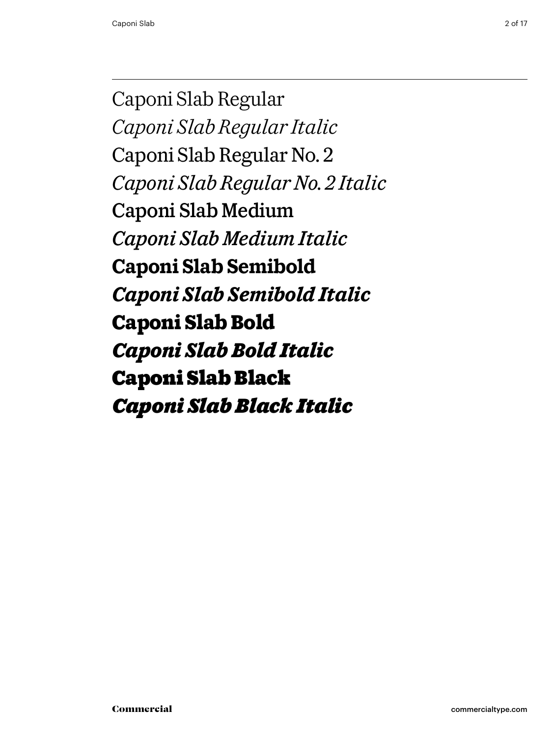Caponi Slab Regular *Caponi Slab Regular Italic* Caponi Slab Regular No. 2 *Caponi Slab Regular No. 2 Italic* Caponi Slab Medium *Caponi Slab Medium Italic* **Caponi Slab Semibold** *Caponi Slab Semibold Italic* **Caponi Slab Bold** *Caponi Slab Bold Italic* Caponi Slab Black *Caponi Slab Black Italic*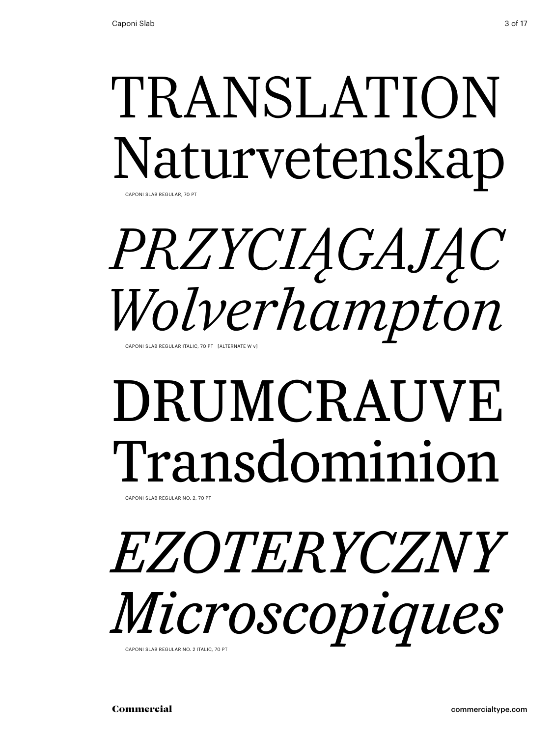## TRANSLATION Naturvetenskap CAPONI SI AB REGUI AR, 70 PT

# *przyciągając Wolverhampton*

Caponi Slab Regular Italic, 70 Pt [alternate w v]

# DRUMCRAUVE Transdominion

Caponi Slab Regular No. 2, 70 Pt

## *ezoteryczny Microscopiques* CAPONI SI AB REGULAR NO. 2 ITALIC, 70 PT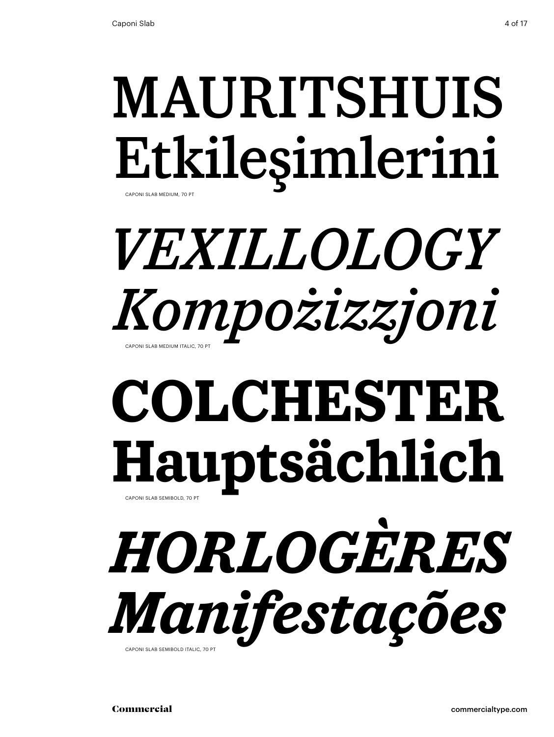## MAURITSHUIS Etkileşimlerini Caponi Slab Medium, 70 Pt

## *Vexillology Kompożizzjoni* Caponi Slab Medium Italic, 70 Pt

## **colchester Hauptsächlich** CAPONI SLAB SEMIBOLD, 70 PT

*horlogères Manifestações* CAPONI SLAB SEMIBOLD ITALIC, 70 P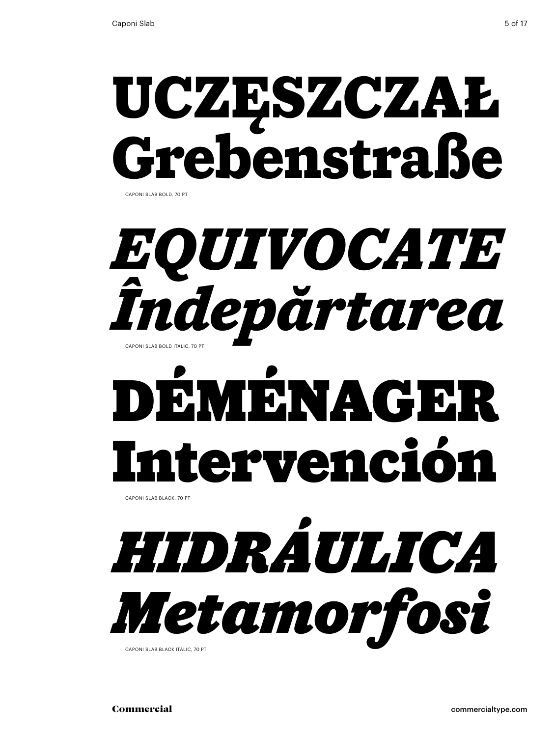Caponi Slab bold, 70 Pt

# **uczęszczał Grebenstraße**



# Déménager Intervención

Caponi Slab black, 70 Pt

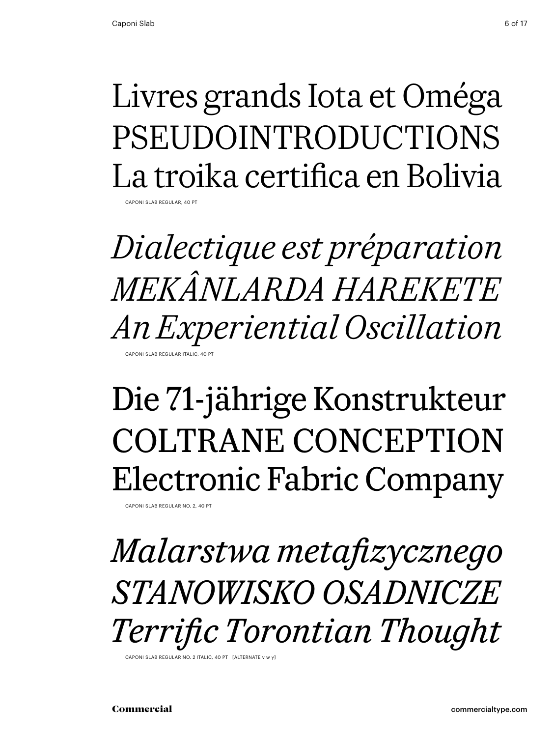## Livres grands Iota et Oméga PSEUDOINTRODUCTIONS La troika certifica en Bolivia

Caponi Slab Regular, 40 Pt

*Dialectique est préparation Mekânlarda harekete An Experiential Oscillation* CAPONI SLAB REGULAR ITALIC, 40 P

## Die 71-jährige Konstrukteur coltrane conception Electronic Fabric Company

Caponi Slab Regular No. 2, 40 Pt

*Malarstwa metafizycznego stanowisko osadnicze Terrific Torontian Thought*

CAPONI SLAB REGULAR NO. 2 ITALIC, 40 PT [ALTERNATE v w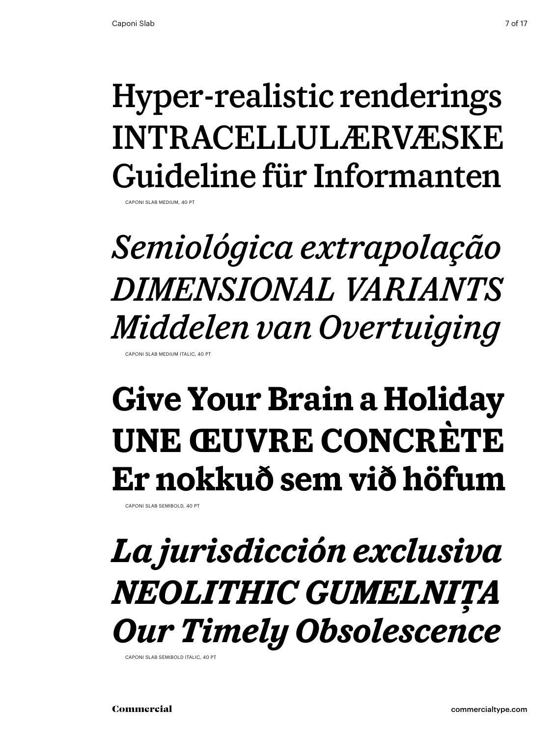## Hyper-realistic renderings Intracellulærvæske Guideline für Informanten

Caponi Slab Medium, 40 Pt

*Semiológica extrapolação dimensional variants Middelen van Overtuiging* Caponi Slab Medium Italic, 40 Pt

## **Give Your Brain a Holiday Une œuvre concrète Er nokkuð sem við höfum**

Caponi Slab semibold, 40 Pt

*La jurisdicción exclusiva Neolithic Gumelniţa Our Timely Obsolescence* 

CAPONI SLAB SEMIBOLD ITALIC, 40 PT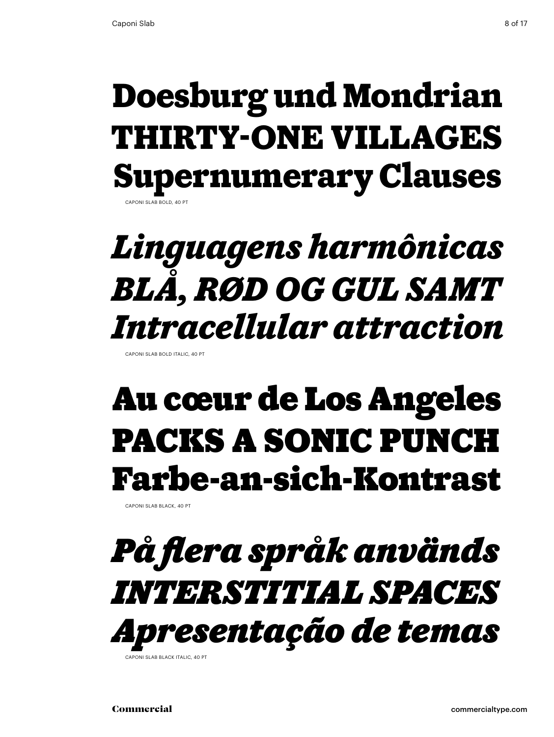## **Doesburg und Mondrian thirty-one villages Supernumerary Clauses** APONI SLAB BOLD, 40 PT

## *Linguagens harmônicas Blå, rød og gul samt Intracellular attraction*

Caponi Slab bold italic, 40 Pt

## Au cœur de Los Angeles PACKS A SONIC PUNCH Farbe-an-sich-Kontrast

Caponi Slab black, 40 Pt

## *På flera språk används interstitial spaces Apresentação de temas* CAPONI SI AB BLACK ITALIC, 40 PT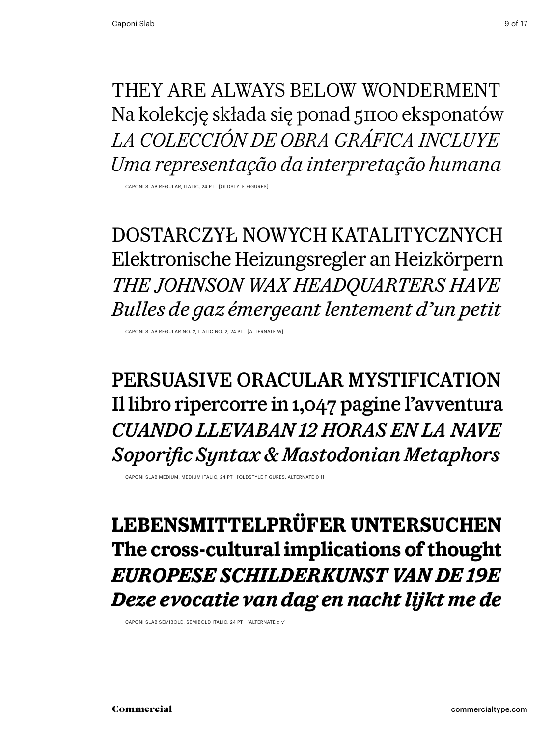They are always below wonderment Na kolekcję składa się ponad 51100 eksponatów *La colección de obra gráfica incluye Uma representação da interpretação humana*

Caponi Slab Regular, italic, 24 Pt [oldstyle figures]

dostarczył nowych katalitycznych Elektronische Heizungsregler an Heizkörpern *The Johnson Wax Headquarters Have Bulles de gaz émergeant lentement d'un petit*

Caponi Slab Regular No. 2, Italic No. 2, 24 Pt [alternate w]

persuasive oracular mystification Il libro ripercorre in 1,047 pagine l'avventura *Cuando llevaban 12 horas en la nave Soporific Syntax & Mastodonian Metaphors*

Caponi Slab medium, medium italic, 24 Pt [oldstyle figures, alternate 0 1]

**Lebensmittelprüfer untersuchen The cross-cultural implications of thought** *Europese schilderkunst van de 19e Deze evocatie van dag en nacht lijkt me de*

Caponi Slab Semibold, Semibold italic, 24 Pt [alternate g v]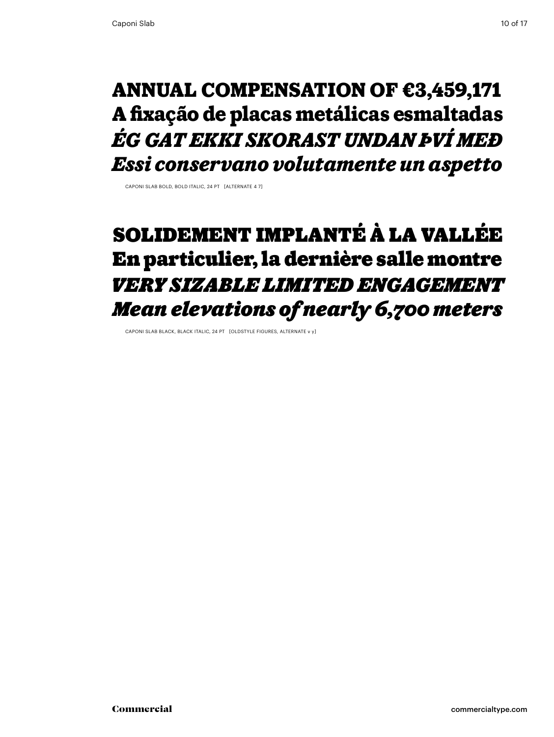### **annual compensation of €3,459,171 A fixação de placas metálicas esmaltadas** *Ég gat ekki skorast undan því með Essi conservano volutamente un aspetto*

Caponi Slab bold, bold italic, 24 Pt [alternate 4 7]

## Solidement implanté à La Vallée En particulier, la dernière salle montre *very sizable limited engagement Mean elevations of nearly 6,700 meters*

Caponi Slab black, black italic, 24 Pt [oldstyle figures, alternate v y]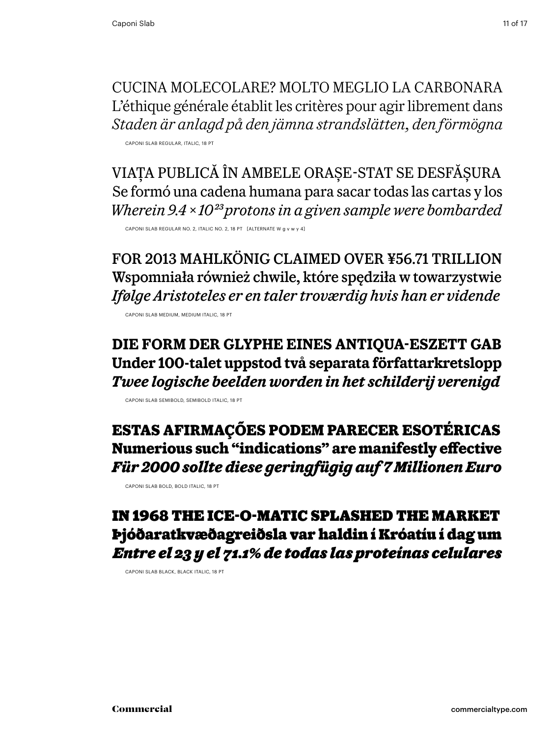Cucina molecolare? Molto meglio la carbonara L'éthique générale établit les critères pour agir librement dans *Staden är anlagd på den jämna strandslätten, den förmögna*

Caponi Slab Regular, italic, 18 Pt

Viața publică în ambele orașe-stat se desfășura Se formó una cadena humana para sacar todas las cartas y los *Wherein 9.4 × 1023 protons in a given sample were bombarded* Caponi Slab Regular No. 2, Italic No. 2, 18 Pt [alternate w g v w y 4]

for 2013 mahlkönig claimed over ¥56.71 trillion Wspomniała również chwile, które spędziła w towarzystwie *Ifølge Aristoteles er en taler troværdig hvis han er vidende*

Caponi Slab Medium, Medium italic, 18 Pt

**Die Form der Glyphe eines Antiqua-Eszett gab Under 100-talet uppstod två separata författarkretslopp** *Twee logische beelden worden in het schilderij verenigd*

Caponi Slab Semibold, Semibold italic, 18 Pt

**Estas afirmações podem parecer esotéricas Numerious such "indications" are manifestly effective** *Für 2000 sollte diese geringfügig auf 7 Millionen Euro*

Caponi Slab bold, bold italic, 18 Pt

### In 1968 the ice-o-matic splashed the market Þjóðaratkvæðagreiðsla var haldin í Króatíu í dag um *Entre el 23 y el 71.1% de todas las proteínas celulares*

Caponi Slab black, Black italic, 18 Pt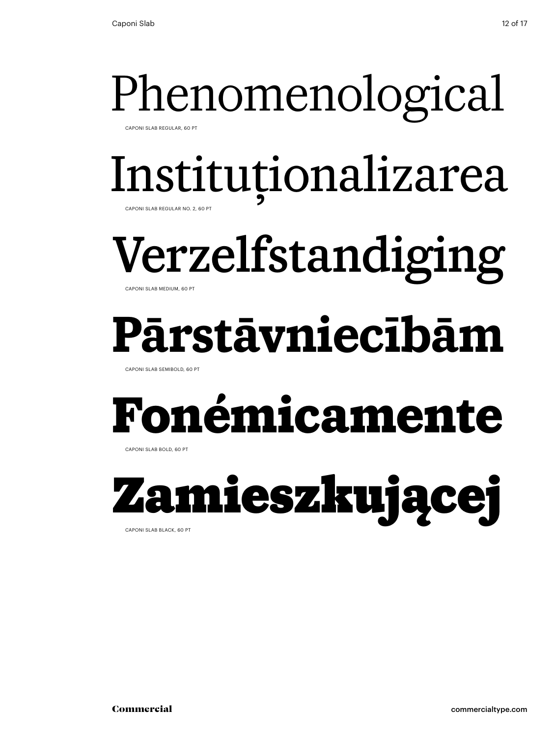# Phenomenological

Caponi Slab Regular, 60 Pt

# Instituționalizarea

Caponi Slab Regular No. 2, 60 Pt

# Verzelfstandiging

Caponi Slab Medium, 60 Pt

# **Pārstāvniecībām**

Caponi Slab Semibold, 60 Pt

# **Fonémicamente**

Caponi Slab bold, 60 Pt

# Zamieszkującej

Caponi Slab black, 60 Pt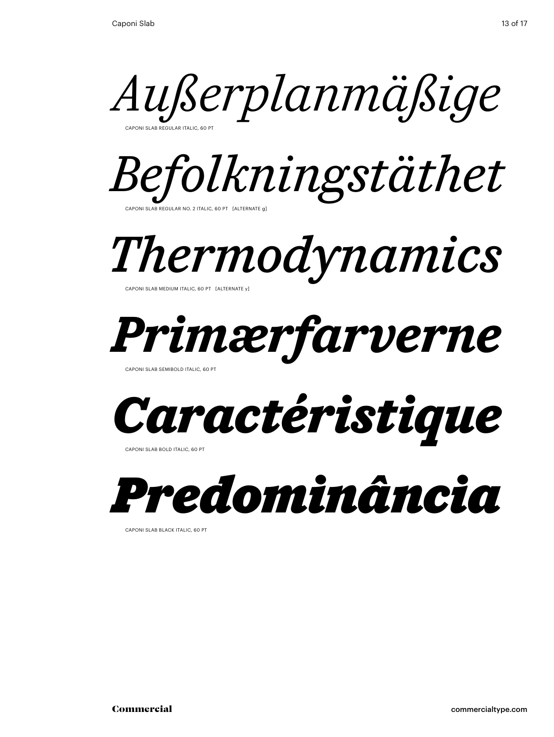*Außerplanmäßige* Caponi Slab Regular Italic, 60 Pt



*Thermodynamics*

Caponi Slab Medium Italic, 60 Pt [alternate y]



Caponi Slab Semibold italic, 60 Pt



Caponi Slab bold italic, 60 Pt



Caponi Slab black italic, 60 Pt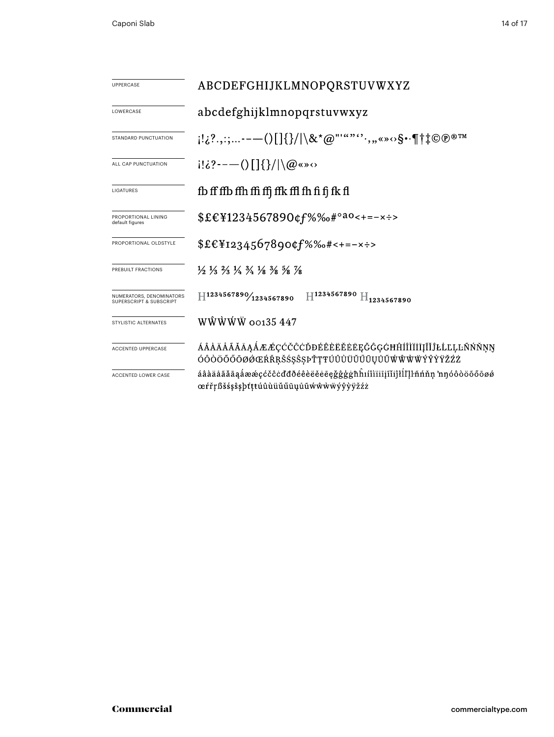| UPPERCASE                                           | ABCDEFGHIJKLMNOPQRSTUVWXYZ                                                                                                                                           |  |  |  |  |  |
|-----------------------------------------------------|----------------------------------------------------------------------------------------------------------------------------------------------------------------------|--|--|--|--|--|
| LOWERCASE                                           | abcdefghijklmnopqrstuvwxyz                                                                                                                                           |  |  |  |  |  |
| STANDARD PUNCTUATION                                | $[1:\,2^2,\,:\,:\,:\,:---()$ $[3]/\&*@""``\cdots, \,:\,:\,*\,\circ\,\mathsf{S}\cdot\mathsf{B}^{\dagger}$ $\uparrow\downarrow\mathbb{C}\oplus\mathbb{R}^{\mathbb{N}}$ |  |  |  |  |  |
| ALL CAP PUNCTUATION                                 | $i! \delta$ ?----()[]{}/ \@«»<>                                                                                                                                      |  |  |  |  |  |
| LIGATURES                                           | fb ff ffb ffh ffi ffj ffk ffl fh fi fj fk fl                                                                                                                         |  |  |  |  |  |
| PROPORTIONAL LINING<br>default figures              | $$£€¥1234567890¢f%%o#°a0<+=-x$                                                                                                                                       |  |  |  |  |  |
| PROPORTIONAL OLDSTYLE                               | $$£€¥I234567890¢f%%o#<+=-×÷>$                                                                                                                                        |  |  |  |  |  |
| PREBUILT FRACTIONS                                  | $\frac{1}{2}$ $\frac{1}{3}$ $\frac{2}{3}$ $\frac{1}{4}$ $\frac{3}{4}$ $\frac{1}{8}$ $\frac{3}{8}$ $\frac{5}{8}$ $\frac{7}{8}$                                        |  |  |  |  |  |
| NUMERATORS, DENOMINATORS<br>SUPERSCRIPT & SUBSCRIPT | $H^{1234567890}/_{1234567890}$ $H^{1234567890}$ $H_{1234567890}$                                                                                                     |  |  |  |  |  |
| STYLISTIC ALTERNATES                                | $W\hat{W}\hat{W}\hat{W}$ $\hat{W}$ 00135 447                                                                                                                         |  |  |  |  |  |
| ACCENTED UPPERCASE                                  | ÁÂÀÄÅÃĂĀĄÅÆÆÇĆČĈĊĎĐÉÊÈĖĔĖĒĘĞĜĢĠĦĤÍÎÌÏĬĪĮĨĬĴŁĹĽĻĿÑŃŇŅŊ<br>ÓÔÒÖŐŐŌØØŒŔŘŖŠŚŞŜŞÞŤŢŦÚÛÙÜŬŰŪŲŮŨŴŴŴŴÝŶŶŸŽŹŻ                                                                 |  |  |  |  |  |
| ACCENTED LOWER CASE                                 | áâàäåãăāąåææçćčĉċďđðéêèëěeęǧĝģġħĥıíîìïiījĩijłĺľḷŀñńňṇ 'nŋóôòöõőōøø<br>œŕřŗßšśşŝşþťţŧúûùüŭűūųůũẃŵẁẅýŷỳÿžźż                                                            |  |  |  |  |  |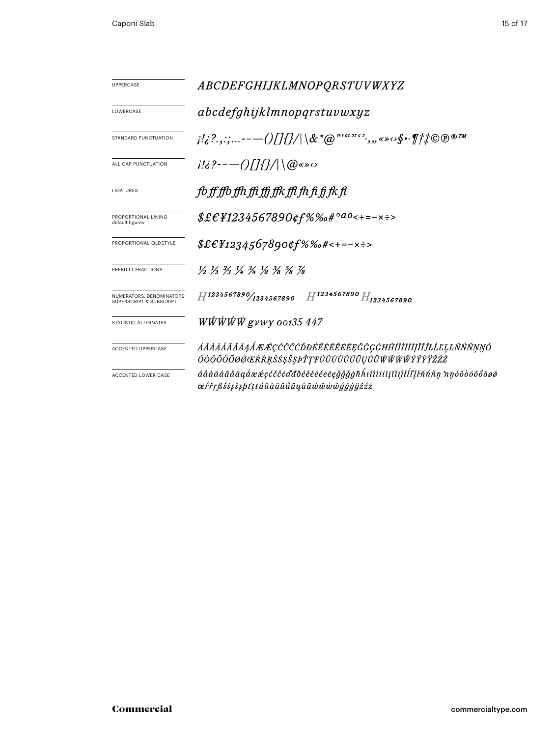| UPPERCASE                                           | <i>ABCDEFGHIJKLMNOPQRSTUVWXYZ</i>                                                                                                                                                                                                                                             |  |  |  |  |  |
|-----------------------------------------------------|-------------------------------------------------------------------------------------------------------------------------------------------------------------------------------------------------------------------------------------------------------------------------------|--|--|--|--|--|
| LOWERCASE                                           | abcdefghijklmnopqrstuvwxyz                                                                                                                                                                                                                                                    |  |  |  |  |  |
| STANDARD PUNCTUATION                                | $\{a_1, a_2, a_3, \ldots, a_{n-1}, a_n\}$ and $\{a_n, a_n\}$ and $\{a_n, a_n\}$ and $\{a_n, a_n\}$ and $\{a_n, a_n\}$ and $\{a_n, a_n\}$ and $\{a_n, a_n\}$ and $\{a_n, a_n\}$ and $\{a_n, a_n\}$ and $\{a_n, a_n\}$ and $\{a_n, a_n\}$ and $\{a_n, a_n\}$ and $\{a_n, a_n\}$ |  |  |  |  |  |
| ALL CAP PUNCTUATION                                 | $i!i$ ?---()[]{}/ \@«» $\circ$                                                                                                                                                                                                                                                |  |  |  |  |  |
| LIGATURES                                           | fb ff ffb ffh ffi ffi ffk ffl fh fi fj fk fl                                                                                                                                                                                                                                  |  |  |  |  |  |
| PROPORTIONAL LINING<br>default figures              | $$£EY1234567890$ ¢f%‰#° <sup>ao</sup> <+=-×÷>                                                                                                                                                                                                                                 |  |  |  |  |  |
| PROPORTIONAL OLDSTYLE                               | $$£E_{1234567890¢f\%%o#<+=-x}\cdot$                                                                                                                                                                                                                                           |  |  |  |  |  |
| PREBUILT FRACTIONS                                  | $\frac{1}{2}$ $\frac{1}{3}$ $\frac{2}{3}$ $\frac{1}{4}$ $\frac{3}{4}$ $\frac{1}{8}$ $\frac{3}{8}$ $\frac{5}{8}$ $\frac{7}{8}$                                                                                                                                                 |  |  |  |  |  |
| NUMERATORS, DENOMINATORS<br>SUPERSCRIPT & SUBSCRIPT | $H^{1234567890}/_{1234567890}$ $H^{1234567890}$ $H_{1234567890}$                                                                                                                                                                                                              |  |  |  |  |  |
| STYLISTIC ALTERNATES                                | $W\hat{W}\hat{W}\hat{W}$ gvwy 00135 447                                                                                                                                                                                                                                       |  |  |  |  |  |
| ACCENTED UPPERCASE                                  | ÁÂÀÄÅÃĂĀĄÅÆÆÇĆČĈÒĐÉÊÈËĔĔĔĘĞĜĢĠĦĤÍÎÌÏĪĮĨĬĴŁĹĽĻĿÑŃŇŅŊÓ<br>ÔÒÖÕŐŌØØŒŔŘŖŠŚŞŜŞÞŤŢŦÚÛÙÜŬŰŨŲŮŨŴŴŴŴÝŶŶŸŽŹŻ                                                                                                                                                                            |  |  |  |  |  |
| ACCENTED LOWER CASE                                 | áâàäåããāąåææçćčĉcďđðéêèëěeēęğĝģġħĥiíîìiiiįĭiĵłĺľlŀñńňņ nŋóôòöõőōøø<br>œŕřŗßšśşŝşþťṭŧúûùüŭűūųůũŵŵŵẅýŷỳÿžźż                                                                                                                                                                     |  |  |  |  |  |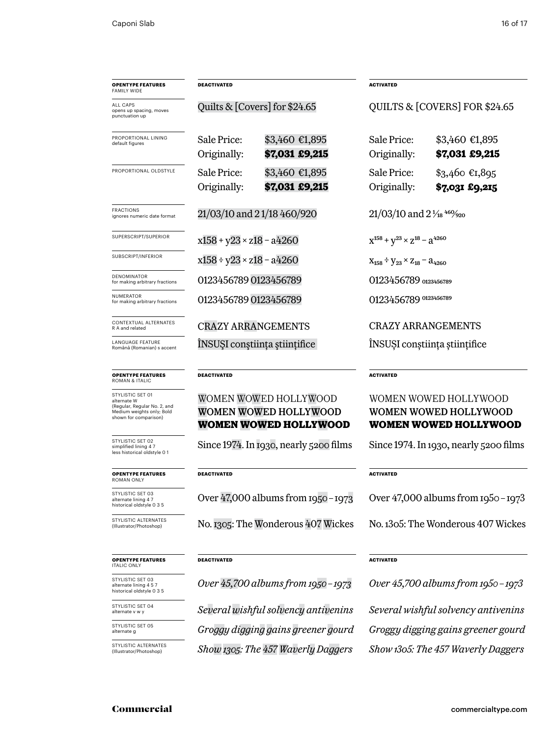| <b>OPENTYPE FEATURES</b><br><b>FAMILY WIDE</b>                  | <b>DEACTIVATED</b>                 |                                  | <b>ACTIVATED</b>                                     |                                   |
|-----------------------------------------------------------------|------------------------------------|----------------------------------|------------------------------------------------------|-----------------------------------|
| <b>ALL CAPS</b><br>opens up spacing, moves<br>punctuation up    | Quilts & $[Covers]$ for \$24.65    |                                  | QUILTS & [COVERS] FOR \$24.65                        |                                   |
| PROPORTIONAL LINING<br>default figures                          | Sale Price:<br>Originally:         | \$3,460 €1,895<br>\$7,031 £9,215 | Sale Price:<br>Originally:                           | \$3,460 €1,895<br>\$7,031 £9,215  |
| PROPORTIONAL OLDSTYLE                                           | Sale Price:<br>Originally:         | \$3,460 €1,895<br>\$7,031 £9,215 | Sale Price:<br>Originally:                           | $$3,460$ €1,895<br>\$7,031 £9,215 |
| <b>FRACTIONS</b><br>ignores numeric date format                 | 21/03/10 and 21/18 460/920         |                                  | $21/03/10$ and $2\frac{1}{18}$ $460/920$             |                                   |
| SUPERSCRIPT/SUPERIOR                                            | $x158 + y23 \times z18 - a4260$    |                                  | $X^{158} + Y^{23} \times Z^{18} - 3^{4260}$          |                                   |
| SUBSCRIPT/INFERIOR                                              | $x158 \div y23 \times z18 - a4260$ |                                  | $X_{158} \div V_{23} \times Z_{18} = \lambda_{4260}$ |                                   |
| DENOMINATOR<br>for making arbitrary fractions                   | 0123456789 0123456789              |                                  | 0123456789 0123456789                                |                                   |
| NUMERATOR<br>for making arbitrary fractions                     | 0123456789 0123456789              |                                  | 0123456789 0123456789                                |                                   |
| CONTEXTUAL ALTERNATES<br>R A and related                        | <b>CRAZY ARRANGEMENTS</b>          |                                  | <b>CRAZY ARRANGEMENTS</b>                            |                                   |
| <b>LANGUAGE FEATURE</b><br>Română (Romanian) s accent           | INSUȘI conștiința științifice      |                                  | INSUȘI conștiința științifice                        |                                   |
| <b>OPENTYPE FEATURES</b><br><b>ROMAN &amp; ITALIC</b>           | <b>DEACTIVATED</b>                 |                                  | <b>ACTIVATED</b>                                     |                                   |
| STYLISTIC SET 01<br>alternate W<br>(Regular, Regular No. 2, and |                                    | WOMEN WOWED HOLLYWOOD            | WOMEN WOWED HOLLYWOOD                                |                                   |

### Women Wowed Hollywood **Women Wowed Hollywood**

Since 1974. In 1930, nearly 5200 films

### **DEACTIVATED**

Over 47,000 albums from 1950–1973

No. 1305: The Wonderous 407 Wickes

### **DEACTIVATED**

*Over 45,700 albums from 1950–1973*

*Show1305: The 457 Waverly Daggers Show 1305: The 457 Waverly Daggers Several wishful solvency antivenins Groggy digging gains greener gourd*

### **OOD** Women Wowed Hollywood **Women Wowed Hollywood**

Since 1974. In 1930, nearly 5200 films

### **ACTIVATED**

Over 47,000 albums from 1950–1973

No. 1305: The Wonderous 407 Wickes

### **ACTIVATED**

*Over 45,700 albums from 1950–1973 Several wishful solvency antivenins Groggy digging gains greener gourd*

### **opentype FEATUREs** italic only

**opentype FEATUREs** roman only

STYLISTIC SET 03 alternate lining 4 7 historical oldstyle 0 3 5

STYLISTIC ALTERNATI<br>(Illustrator/Photoshop)

STYLISTIC SET 02 simplified lining 4 7 less historical oldstyle 0 1

Medium weights only; Bold shown for comparison)

STYLISTIC SET 03 alternate lining 4 5 7 historical oldstyle 0 3 5

STYLISTIC SET 04 alternate v w y

STYLISTIC SET 05 alternate g

STYLISTIC ALTERNATES (Illustrator/Photoshop)